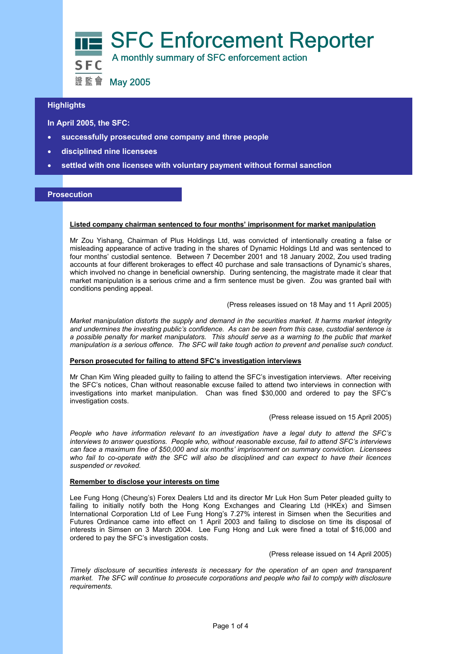

# **Highlights**

 **In April 2005, the SFC:** 

- **successfully prosecuted one company and three people**
- **disciplined nine licensees**
- **settled with one licensee with voluntary payment without formal sanction**

# **Prosecution**

## **Listed company chairman sentenced to four months' imprisonment for market manipulation**

Mr Zou Yishang, Chairman of Plus Holdings Ltd, was convicted of intentionally creating a false or misleading appearance of active trading in the shares of Dynamic Holdings Ltd and was sentenced to four months' custodial sentence. Between 7 December 2001 and 18 January 2002, Zou used trading accounts at four different brokerages to effect 40 purchase and sale transactions of Dynamic's shares, which involved no change in beneficial ownership. During sentencing, the magistrate made it clear that market manipulation is a serious crime and a firm sentence must be given. Zou was granted bail with conditions pending appeal.

### (Press releases issued on 18 May and 11 April 2005)

*Market manipulation distorts the supply and demand in the securities market. It harms market integrity and undermines the investing public's confidence. As can be seen from this case, custodial sentence is a possible penalty for market manipulators. This should serve as a warning to the public that market manipulation is a serious offence. The SFC will take tough action to prevent and penalise such conduct.* 

### **Person prosecuted for failing to attend SFC's investigation interviews**

Mr Chan Kim Wing pleaded guilty to failing to attend the SFC's investigation interviews. After receiving the SFC's notices, Chan without reasonable excuse failed to attend two interviews in connection with investigations into market manipulation. Chan was fined \$30,000 and ordered to pay the SFC's investigation costs.

#### (Press release issued on 15 April 2005)

*People who have information relevant to an investigation have a legal duty to attend the SFC's interviews to answer questions. People who, without reasonable excuse, fail to attend SFC's interviews can face a maximum fine of \$50,000 and six months' imprisonment on summary conviction. Licensees who fail to co-operate with the SFC will also be disciplined and can expect to have their licences suspended or revoked.* 

## **Remember to disclose your interests on time**

Lee Fung Hong (Cheung's) Forex Dealers Ltd and its director Mr Luk Hon Sum Peter pleaded guilty to failing to initially notify both the Hong Kong Exchanges and Clearing Ltd (HKEx) and Simsen International Corporation Ltd of Lee Fung Hong's 7.27% interest in Simsen when the Securities and Futures Ordinance came into effect on 1 April 2003 and failing to disclose on time its disposal of interests in Simsen on 3 March 2004. Lee Fung Hong and Luk were fined a total of \$16,000 and ordered to pay the SFC's investigation costs.

(Press release issued on 14 April 2005)

*Timely disclosure of securities interests is necessary for the operation of an open and transparent market. The SFC will continue to prosecute corporations and people who fail to comply with disclosure requirements.*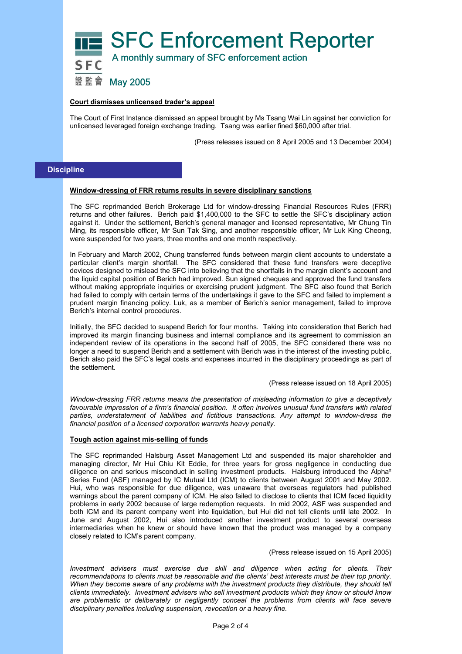

## **Court dismisses unlicensed trader's appeal**

The Court of First Instance dismissed an appeal brought by Ms Tsang Wai Lin against her conviction for unlicensed leveraged foreign exchange trading. Tsang was earlier fined \$60,000 after trial.

(Press releases issued on 8 April 2005 and 13 December 2004)

# **Discipline**

## **Window-dressing of FRR returns results in severe disciplinary sanctions**

The SFC reprimanded Berich Brokerage Ltd for window-dressing Financial Resources Rules (FRR) returns and other failures. Berich paid \$1,400,000 to the SFC to settle the SFC's disciplinary action against it. Under the settlement, Berich's general manager and licensed representative, Mr Chung Tin Ming, its responsible officer, Mr Sun Tak Sing, and another responsible officer, Mr Luk King Cheong, were suspended for two years, three months and one month respectively.

In February and March 2002, Chung transferred funds between margin client accounts to understate a particular client's margin shortfall. The SFC considered that these fund transfers were deceptive devices designed to mislead the SFC into believing that the shortfalls in the margin client's account and the liquid capital position of Berich had improved. Sun signed cheques and approved the fund transfers without making appropriate inquiries or exercising prudent judgment. The SFC also found that Berich had failed to comply with certain terms of the undertakings it gave to the SFC and failed to implement a prudent margin financing policy. Luk, as a member of Berich's senior management, failed to improve Berich's internal control procedures.

Initially, the SFC decided to suspend Berich for four months. Taking into consideration that Berich had improved its margin financing business and internal compliance and its agreement to commission an independent review of its operations in the second half of 2005, the SFC considered there was no longer a need to suspend Berich and a settlement with Berich was in the interest of the investing public. Berich also paid the SFC's legal costs and expenses incurred in the disciplinary proceedings as part of the settlement.

#### (Press release issued on 18 April 2005)

*Window-dressing FRR returns means the presentation of misleading information to give a deceptively favourable impression of a firm's financial position. It often involves unusual fund transfers with related parties, understatement of liabilities and fictitious transactions. Any attempt to window-dress the financial position of a licensed corporation warrants heavy penalty.* 

## **Tough action against mis-selling of funds**

The SFC reprimanded Halsburg Asset Management Ltd and suspended its major shareholder and managing director, Mr Hui Chiu Kit Eddie, for three years for gross negligence in conducting due diligence on and serious misconduct in selling investment products. Halsburg introduced the Alpha<sup>2</sup> Series Fund (ASF) managed by IC Mutual Ltd (ICM) to clients between August 2001 and May 2002. Hui, who was responsible for due diligence, was unaware that overseas regulators had published warnings about the parent company of ICM. He also failed to disclose to clients that ICM faced liquidity problems in early 2002 because of large redemption requests. In mid 2002, ASF was suspended and both ICM and its parent company went into liquidation, but Hui did not tell clients until late 2002. In June and August 2002, Hui also introduced another investment product to several overseas intermediaries when he knew or should have known that the product was managed by a company closely related to ICM's parent company.

#### (Press release issued on 15 April 2005)

*Investment advisers must exercise due skill and diligence when acting for clients. Their recommendations to clients must be reasonable and the clients' best interests must be their top priority.*  When they become aware of any problems with the investment products they distribute, they should tell *clients immediately. Investment advisers who sell investment products which they know or should know are problematic or deliberately or negligently conceal the problems from clients will face severe disciplinary penalties including suspension, revocation or a heavy fine.*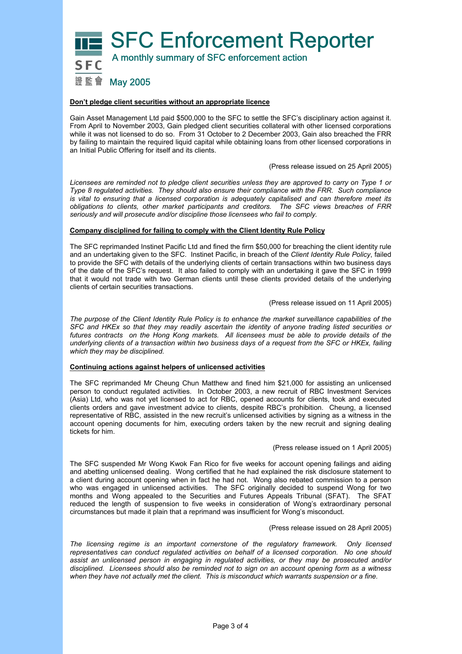

### **Don't pledge client securities without an appropriate licence**

Gain Asset Management Ltd paid \$500,000 to the SFC to settle the SFC's disciplinary action against it. From April to November 2003, Gain pledged client securities collateral with other licensed corporations while it was not licensed to do so. From 31 October to 2 December 2003, Gain also breached the FRR by failing to maintain the required liquid capital while obtaining loans from other licensed corporations in an Initial Public Offering for itself and its clients.

(Press release issued on 25 April 2005)

*Licensees are reminded not to pledge client securities unless they are approved to carry on Type 1 or Type 8 regulated activities. They should also ensure their compliance with the FRR. Such compliance is vital to ensuring that a licensed corporation is adequately capitalised and can therefore meet its obligations to clients, other market participants and creditors. The SFC views breaches of FRR seriously and will prosecute and/or discipline those licensees who fail to comply.* 

### **Company disciplined for failing to comply with the Client Identity Rule Policy**

The SFC reprimanded Instinet Pacific Ltd and fined the firm \$50,000 for breaching the client identity rule and an undertaking given to the SFC. Instinet Pacific, in breach of the *Client Identity Rule Policy*, failed to provide the SFC with details of the underlying clients of certain transactions within two business days of the date of the SFC's request. It also failed to comply with an undertaking it gave the SFC in 1999 that it would not trade with two German clients until these clients provided details of the underlying clients of certain securities transactions.

### (Press release issued on 11 April 2005)

*The purpose of the Client Identity Rule Policy is to enhance the market surveillance capabilities of the SFC and HKEx so that they may readily ascertain the identity of anyone trading listed securities or futures contracts on the Hong Kong markets. All licensees must be able to provide details of the underlying clients of a transaction within two business days of a request from the SFC or HKEx, failing which they may be disciplined.* 

## **Continuing actions against helpers of unlicensed activities**

The SFC reprimanded Mr Cheung Chun Matthew and fined him \$21,000 for assisting an unlicensed person to conduct regulated activities. In October 2003, a new recruit of RBC Investment Services (Asia) Ltd, who was not yet licensed to act for RBC, opened accounts for clients, took and executed clients orders and gave investment advice to clients, despite RBC's prohibition. Cheung, a licensed representative of RBC, assisted in the new recruit's unlicensed activities by signing as a witness in the account opening documents for him, executing orders taken by the new recruit and signing dealing tickets for him.

(Press release issued on 1 April 2005)

The SFC suspended Mr Wong Kwok Fan Rico for five weeks for account opening failings and aiding and abetting unlicensed dealing. Wong certified that he had explained the risk disclosure statement to a client during account opening when in fact he had not. Wong also rebated commission to a person who was engaged in unlicensed activities. The SFC originally decided to suspend Wong for two months and Wong appealed to the Securities and Futures Appeals Tribunal (SFAT). The SFAT reduced the length of suspension to five weeks in consideration of Wong's extraordinary personal circumstances but made it plain that a reprimand was insufficient for Wong's misconduct.

#### (Press release issued on 28 April 2005)

*The licensing regime is an important cornerstone of the regulatory framework. Only licensed representatives can conduct regulated activities on behalf of a licensed corporation. No one should assist an unlicensed person in engaging in regulated activities, or they may be prosecuted and/or disciplined. Licensees should also be reminded not to sign on an account opening form as a witness when they have not actually met the client. This is misconduct which warrants suspension or a fine.*